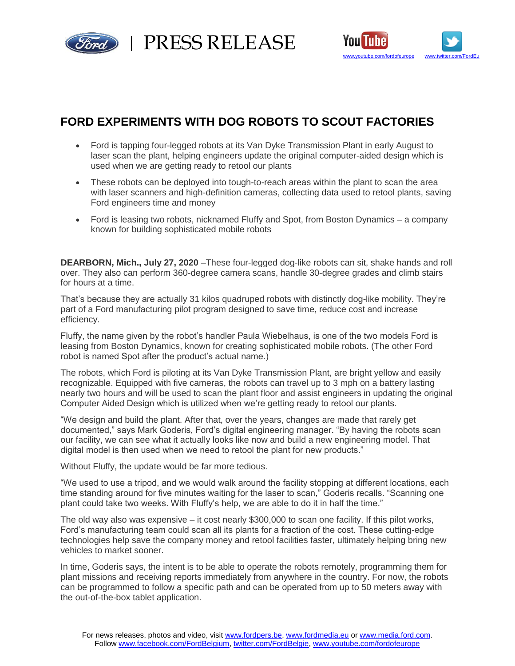

PRESS RELEASE



## **FORD EXPERIMENTS WITH DOG ROBOTS TO SCOUT FACTORIES**

- Ford is tapping four-legged robots at its Van Dyke Transmission Plant in early August to laser scan the plant, helping engineers update the original computer-aided design which is used when we are getting ready to retool our plants
- These robots can be deployed into tough-to-reach areas within the plant to scan the area with laser scanners and high-definition cameras, collecting data used to retool plants, saving Ford engineers time and money
- Ford is leasing two robots, nicknamed Fluffy and Spot, from Boston Dynamics a company known for building sophisticated mobile robots

**DEARBORN, Mich., July 27, 2020** –These four-legged dog-like robots can sit, shake hands and roll over. They also can perform 360-degree camera scans, handle 30-degree grades and climb stairs for hours at a time.

That's because they are actually 31 kilos quadruped robots with distinctly dog-like mobility. They're part of a Ford manufacturing pilot program designed to save time, reduce cost and increase efficiency.

Fluffy, the name given by the robot's handler Paula Wiebelhaus, is one of the two models Ford is leasing from Boston Dynamics, known for creating sophisticated mobile robots. (The other Ford robot is named Spot after the product's actual name.)

The robots, which Ford is piloting at its Van Dyke Transmission Plant, are bright yellow and easily recognizable. Equipped with five cameras, the robots can travel up to 3 mph on a battery lasting nearly two hours and will be used to scan the plant floor and assist engineers in updating the original Computer Aided Design which is utilized when we're getting ready to retool our plants.

"We design and build the plant. After that, over the years, changes are made that rarely get documented," says Mark Goderis, Ford's digital engineering manager. "By having the robots scan our facility, we can see what it actually looks like now and build a new engineering model. That digital model is then used when we need to retool the plant for new products."

Without Fluffy, the update would be far more tedious.

"We used to use a tripod, and we would walk around the facility stopping at different locations, each time standing around for five minutes waiting for the laser to scan," Goderis recalls. "Scanning one plant could take two weeks. With Fluffy's help, we are able to do it in half the time."

The old way also was expensive – it cost nearly \$300,000 to scan one facility. If this pilot works, Ford's manufacturing team could scan all its plants for a fraction of the cost. These cutting-edge technologies help save the company money and retool facilities faster, ultimately helping bring new vehicles to market sooner.

In time, Goderis says, the intent is to be able to operate the robots remotely, programming them for plant missions and receiving reports immediately from anywhere in the country. For now, the robots can be programmed to follow a specific path and can be operated from up to 50 meters away with the out-of-the-box tablet application.